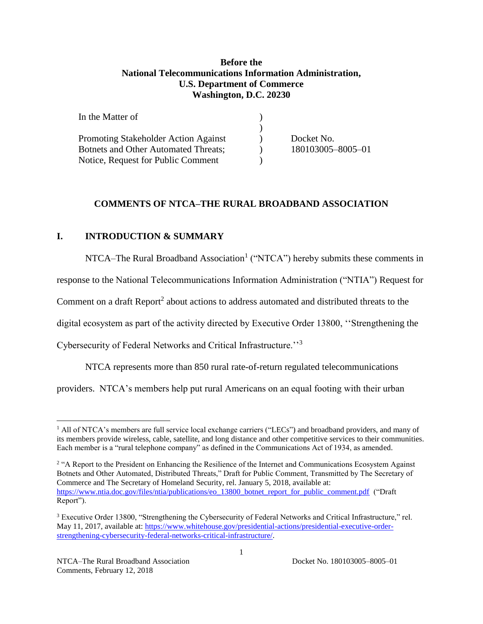## **Before the National Telecommunications Information Administration, U.S. Department of Commerce Washington, D.C. 20230**

| In the Matter of                            |                   |
|---------------------------------------------|-------------------|
|                                             |                   |
| <b>Promoting Stakeholder Action Against</b> | Docket No.        |
| <b>Botnets and Other Automated Threats;</b> | 180103005-8005-01 |
| Notice, Request for Public Comment          |                   |

### **COMMENTS OF NTCA–THE RURAL BROADBAND ASSOCIATION**

#### **I. INTRODUCTION & SUMMARY**

NTCA–The Rural Broadband Association<sup>1</sup> ("NTCA") hereby submits these comments in

response to the National Telecommunications Information Administration ("NTIA") Request for

Comment on a draft Report<sup>2</sup> about actions to address automated and distributed threats to the

digital ecosystem as part of the activity directed by Executive Order 13800, ''Strengthening the

Cybersecurity of Federal Networks and Critical Infrastructure.''<sup>3</sup>

NTCA represents more than 850 rural rate-of-return regulated telecommunications

providers. NTCA's members help put rural Americans on an equal footing with their urban

<sup>&</sup>lt;sup>1</sup> All of NTCA's members are full service local exchange carriers ("LECs") and broadband providers, and many of its members provide wireless, cable, satellite, and long distance and other competitive services to their communities. Each member is a "rural telephone company" as defined in the Communications Act of 1934, as amended.

<sup>&</sup>lt;sup>2</sup> "A Report to the President on Enhancing the Resilience of the Internet and Communications Ecosystem Against Botnets and Other Automated, Distributed Threats," Draft for Public Comment, Transmitted by The Secretary of Commerce and The Secretary of Homeland Security, rel. January 5, 2018, available at: [https://www.ntia.doc.gov/files/ntia/publications/eo\\_13800\\_botnet\\_report\\_for\\_public\\_comment.pdf](https://www.ntia.doc.gov/files/ntia/publications/eo_13800_botnet_report_for_public_comment.pdf) ("Draft") Report").

<sup>3</sup> Executive Order 13800, "Strengthening the Cybersecurity of Federal Networks and Critical Infrastructure," rel. May 11, 2017, available at: [https://www.whitehouse.gov/presidential-actions/presidential-executive-order](https://www.whitehouse.gov/presidential-actions/presidential-executive-order-strengthening-cybersecurity-federal-networks-critical-infrastructure/)[strengthening-cybersecurity-federal-networks-critical-infrastructure/.](https://www.whitehouse.gov/presidential-actions/presidential-executive-order-strengthening-cybersecurity-federal-networks-critical-infrastructure/)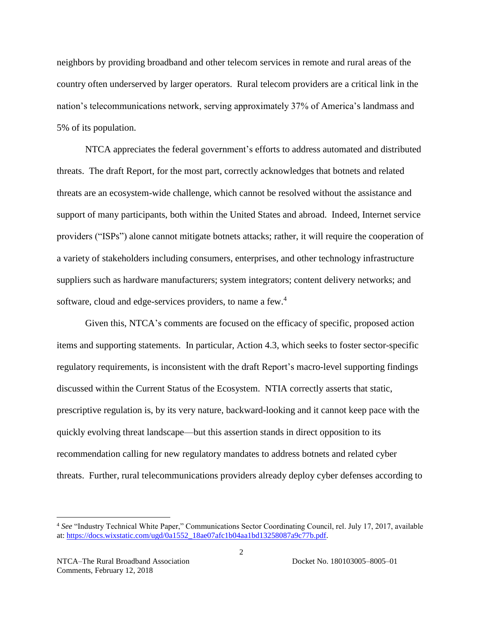neighbors by providing broadband and other telecom services in remote and rural areas of the country often underserved by larger operators. Rural telecom providers are a critical link in the nation's telecommunications network, serving approximately 37% of America's landmass and 5% of its population.

NTCA appreciates the federal government's efforts to address automated and distributed threats. The draft Report, for the most part, correctly acknowledges that botnets and related threats are an ecosystem-wide challenge, which cannot be resolved without the assistance and support of many participants, both within the United States and abroad. Indeed, Internet service providers ("ISPs") alone cannot mitigate botnets attacks; rather, it will require the cooperation of a variety of stakeholders including consumers, enterprises, and other technology infrastructure suppliers such as hardware manufacturers; system integrators; content delivery networks; and software, cloud and edge-services providers, to name a few.<sup>4</sup>

Given this, NTCA's comments are focused on the efficacy of specific, proposed action items and supporting statements. In particular, Action 4.3, which seeks to foster sector-specific regulatory requirements, is inconsistent with the draft Report's macro-level supporting findings discussed within the Current Status of the Ecosystem. NTIA correctly asserts that static, prescriptive regulation is, by its very nature, backward-looking and it cannot keep pace with the quickly evolving threat landscape—but this assertion stands in direct opposition to its recommendation calling for new regulatory mandates to address botnets and related cyber threats. Further, rural telecommunications providers already deploy cyber defenses according to

<sup>4</sup> *See* "Industry Technical White Paper," Communications Sector Coordinating Council, rel. July 17, 2017, available at: [https://docs.wixstatic.com/ugd/0a1552\\_18ae07afc1b04aa1bd13258087a9c77b.pdf.](https://docs.wixstatic.com/ugd/0a1552_18ae07afc1b04aa1bd13258087a9c77b.pdf)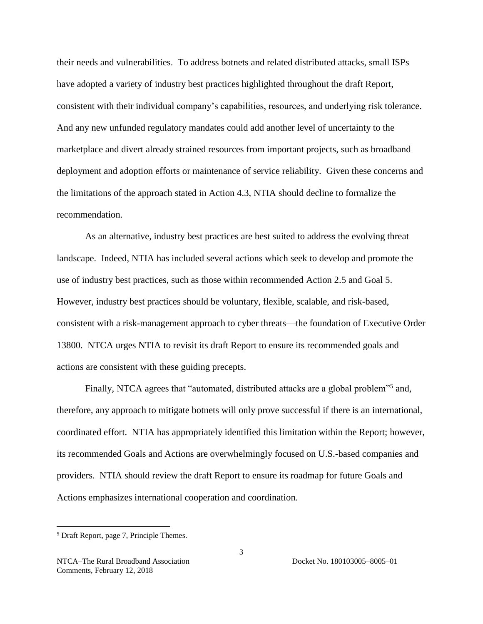their needs and vulnerabilities. To address botnets and related distributed attacks, small ISPs have adopted a variety of industry best practices highlighted throughout the draft Report, consistent with their individual company's capabilities, resources, and underlying risk tolerance. And any new unfunded regulatory mandates could add another level of uncertainty to the marketplace and divert already strained resources from important projects, such as broadband deployment and adoption efforts or maintenance of service reliability. Given these concerns and the limitations of the approach stated in Action 4.3, NTIA should decline to formalize the recommendation.

As an alternative, industry best practices are best suited to address the evolving threat landscape. Indeed, NTIA has included several actions which seek to develop and promote the use of industry best practices, such as those within recommended Action 2.5 and Goal 5. However, industry best practices should be voluntary, flexible, scalable, and risk-based, consistent with a risk-management approach to cyber threats—the foundation of Executive Order 13800. NTCA urges NTIA to revisit its draft Report to ensure its recommended goals and actions are consistent with these guiding precepts.

Finally, NTCA agrees that "automated, distributed attacks are a global problem"<sup>5</sup> and, therefore, any approach to mitigate botnets will only prove successful if there is an international, coordinated effort. NTIA has appropriately identified this limitation within the Report; however, its recommended Goals and Actions are overwhelmingly focused on U.S.-based companies and providers. NTIA should review the draft Report to ensure its roadmap for future Goals and Actions emphasizes international cooperation and coordination.

<sup>5</sup> Draft Report, page 7, Principle Themes.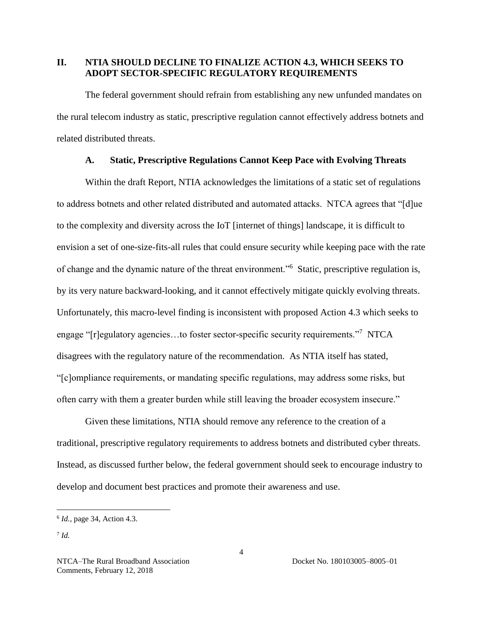## **II. NTIA SHOULD DECLINE TO FINALIZE ACTION 4.3, WHICH SEEKS TO ADOPT SECTOR-SPECIFIC REGULATORY REQUIREMENTS**

The federal government should refrain from establishing any new unfunded mandates on the rural telecom industry as static, prescriptive regulation cannot effectively address botnets and related distributed threats.

### **A. Static, Prescriptive Regulations Cannot Keep Pace with Evolving Threats**

Within the draft Report, NTIA acknowledges the limitations of a static set of regulations to address botnets and other related distributed and automated attacks. NTCA agrees that "[d]ue to the complexity and diversity across the IoT [internet of things] landscape, it is difficult to envision a set of one-size-fits-all rules that could ensure security while keeping pace with the rate of change and the dynamic nature of the threat environment."<sup>6</sup> Static, prescriptive regulation is, by its very nature backward-looking, and it cannot effectively mitigate quickly evolving threats. Unfortunately, this macro-level finding is inconsistent with proposed Action 4.3 which seeks to engage "[r]egulatory agencies...to foster sector-specific security requirements."<sup>7</sup> NTCA disagrees with the regulatory nature of the recommendation. As NTIA itself has stated, "[c]ompliance requirements, or mandating specific regulations, may address some risks, but often carry with them a greater burden while still leaving the broader ecosystem insecure."

Given these limitations, NTIA should remove any reference to the creation of a traditional, prescriptive regulatory requirements to address botnets and distributed cyber threats. Instead, as discussed further below, the federal government should seek to encourage industry to develop and document best practices and promote their awareness and use.

<sup>6</sup> *Id.*, page 34, Action 4.3.

<sup>7</sup> *Id.*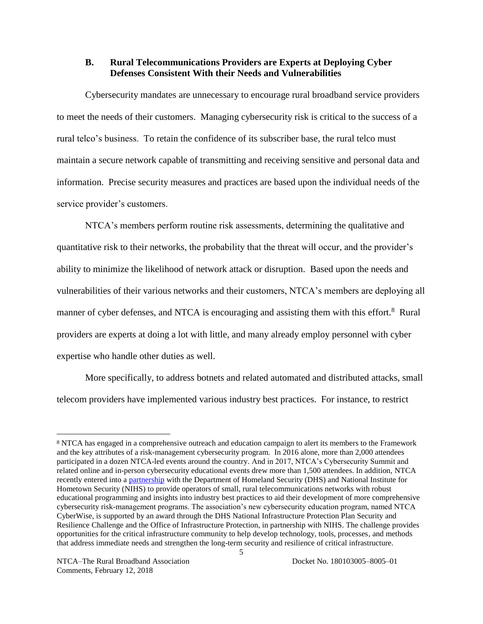#### **B. Rural Telecommunications Providers are Experts at Deploying Cyber Defenses Consistent With their Needs and Vulnerabilities**

Cybersecurity mandates are unnecessary to encourage rural broadband service providers to meet the needs of their customers. Managing cybersecurity risk is critical to the success of a rural telco's business. To retain the confidence of its subscriber base, the rural telco must maintain a secure network capable of transmitting and receiving sensitive and personal data and information. Precise security measures and practices are based upon the individual needs of the service provider's customers.

NTCA's members perform routine risk assessments, determining the qualitative and quantitative risk to their networks, the probability that the threat will occur, and the provider's ability to minimize the likelihood of network attack or disruption. Based upon the needs and vulnerabilities of their various networks and their customers, NTCA's members are deploying all manner of cyber defenses, and NTCA is encouraging and assisting them with this effort.<sup>8</sup> Rural providers are experts at doing a lot with little, and many already employ personnel with cyber expertise who handle other duties as well.

More specifically, to address botnets and related automated and distributed attacks, small telecom providers have implemented various industry best practices. For instance, to restrict

<sup>8</sup> NTCA has engaged in a comprehensive outreach and education campaign to alert its members to the Framework and the key attributes of a risk-management cybersecurity program. In 2016 alone, more than 2,000 attendees participated in a dozen NTCA-led events around the country. And in 2017, NTCA's Cybersecurity Summit and related online and in-person cybersecurity educational events drew more than 1,500 attendees. In addition, NTCA recently entered into a [partnership](https://www.ntca.org/ruraliscool/newsroom/press-releases/2017/15/ntca-announces-partnership-department-homeland-security) with the Department of Homeland Security (DHS) and National Institute for Hometown Security (NIHS) to provide operators of small, rural telecommunications networks with robust educational programming and insights into industry best practices to aid their development of more comprehensive cybersecurity risk-management programs. The association's new cybersecurity education program, named NTCA CyberWise, is supported by an award through the DHS National Infrastructure Protection Plan Security and Resilience Challenge and the Office of Infrastructure Protection, in partnership with NIHS. The challenge provides opportunities for the critical infrastructure community to help develop technology, tools, processes, and methods that address immediate needs and strengthen the long-term security and resilience of critical infrastructure.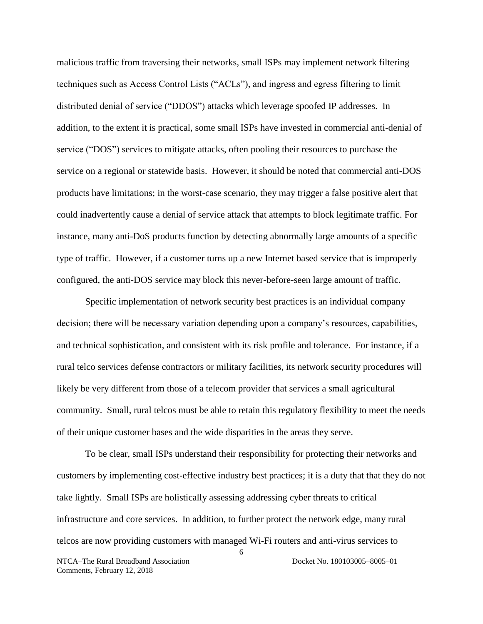malicious traffic from traversing their networks, small ISPs may implement network filtering techniques such as Access Control Lists ("ACLs"), and ingress and egress filtering to limit distributed denial of service ("DDOS") attacks which leverage spoofed IP addresses. In addition, to the extent it is practical, some small ISPs have invested in commercial anti-denial of service ("DOS") services to mitigate attacks, often pooling their resources to purchase the service on a regional or statewide basis. However, it should be noted that commercial anti-DOS products have limitations; in the worst-case scenario, they may trigger a false positive alert that could inadvertently cause a denial of service attack that attempts to block legitimate traffic. For instance, many anti-DoS products function by detecting abnormally large amounts of a specific type of traffic. However, if a customer turns up a new Internet based service that is improperly configured, the anti-DOS service may block this never-before-seen large amount of traffic.

Specific implementation of network security best practices is an individual company decision; there will be necessary variation depending upon a company's resources, capabilities, and technical sophistication, and consistent with its risk profile and tolerance. For instance, if a rural telco services defense contractors or military facilities, its network security procedures will likely be very different from those of a telecom provider that services a small agricultural community. Small, rural telcos must be able to retain this regulatory flexibility to meet the needs of their unique customer bases and the wide disparities in the areas they serve.

6 NTCA–The Rural Broadband Association Docket No. 180103005–8005–01 Comments, February 12, 2018 To be clear, small ISPs understand their responsibility for protecting their networks and customers by implementing cost-effective industry best practices; it is a duty that that they do not take lightly. Small ISPs are holistically assessing addressing cyber threats to critical infrastructure and core services. In addition, to further protect the network edge, many rural telcos are now providing customers with managed Wi-Fi routers and anti-virus services to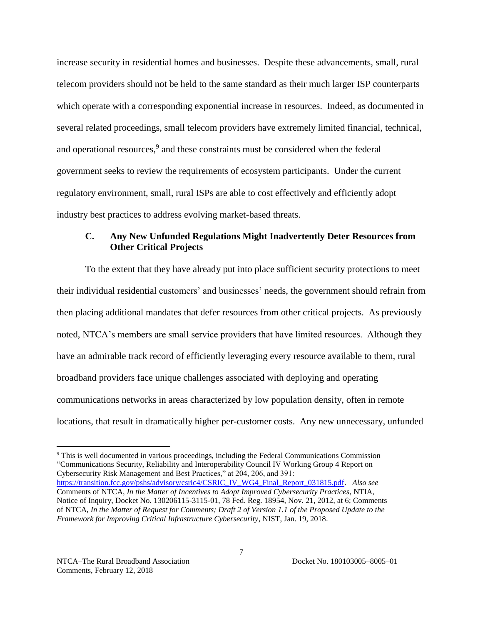increase security in residential homes and businesses. Despite these advancements, small, rural telecom providers should not be held to the same standard as their much larger ISP counterparts which operate with a corresponding exponential increase in resources. Indeed, as documented in several related proceedings, small telecom providers have extremely limited financial, technical, and operational resources, $9$  and these constraints must be considered when the federal government seeks to review the requirements of ecosystem participants. Under the current regulatory environment, small, rural ISPs are able to cost effectively and efficiently adopt industry best practices to address evolving market-based threats.

## **C. Any New Unfunded Regulations Might Inadvertently Deter Resources from Other Critical Projects**

To the extent that they have already put into place sufficient security protections to meet their individual residential customers' and businesses' needs, the government should refrain from then placing additional mandates that defer resources from other critical projects. As previously noted, NTCA's members are small service providers that have limited resources. Although they have an admirable track record of efficiently leveraging every resource available to them, rural broadband providers face unique challenges associated with deploying and operating communications networks in areas characterized by low population density, often in remote locations, that result in dramatically higher per-customer costs. Any new unnecessary, unfunded

<sup>9</sup> This is well documented in various proceedings, including the Federal Communications Commission "Communications Security, Reliability and Interoperability Council IV Working Group 4 Report on Cybersecurity Risk Management and Best Practices," at 204, 206, and 391: [https://transition.fcc.gov/pshs/advisory/csric4/CSRIC\\_IV\\_WG4\\_Final\\_Report\\_031815.pdf.](https://transition.fcc.gov/pshs/advisory/csric4/CSRIC_IV_WG4_Final_Report_031815.pdf) *Also see* Comments of NTCA, *In the Matter of Incentives to Adopt Improved Cybersecurity Practices*, NTIA, Notice of Inquiry, Docket No. 130206115-3115-01, 78 Fed. Reg. 18954, Nov. 21, 2012, at 6; Comments of NTCA, *In the Matter of Request for Comments; Draft 2 of Version 1.1 of the Proposed Update to the Framework for Improving Critical Infrastructure Cybersecurity*, NIST, Jan. 19, 2018.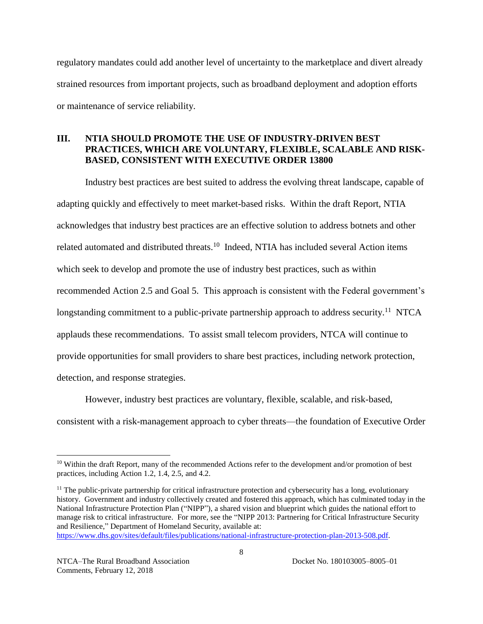regulatory mandates could add another level of uncertainty to the marketplace and divert already strained resources from important projects, such as broadband deployment and adoption efforts or maintenance of service reliability.

# **III. NTIA SHOULD PROMOTE THE USE OF INDUSTRY-DRIVEN BEST PRACTICES, WHICH ARE VOLUNTARY, FLEXIBLE, SCALABLE AND RISK-BASED, CONSISTENT WITH EXECUTIVE ORDER 13800**

Industry best practices are best suited to address the evolving threat landscape, capable of adapting quickly and effectively to meet market-based risks. Within the draft Report, NTIA acknowledges that industry best practices are an effective solution to address botnets and other related automated and distributed threats.<sup>10</sup> Indeed, NTIA has included several Action items which seek to develop and promote the use of industry best practices, such as within recommended Action 2.5 and Goal 5. This approach is consistent with the Federal government's longstanding commitment to a public-private partnership approach to address security.<sup>11</sup> NTCA applauds these recommendations. To assist small telecom providers, NTCA will continue to provide opportunities for small providers to share best practices, including network protection, detection, and response strategies.

However, industry best practices are voluntary, flexible, scalable, and risk-based, consistent with a risk-management approach to cyber threats—the foundation of Executive Order

<sup>&</sup>lt;sup>10</sup> Within the draft Report, many of the recommended Actions refer to the development and/or promotion of best practices, including Action 1.2, 1.4, 2.5, and 4.2.

<sup>&</sup>lt;sup>11</sup> The public-private partnership for critical infrastructure protection and cybersecurity has a long, evolutionary history. Government and industry collectively created and fostered this approach, which has culminated today in the National Infrastructure Protection Plan ("NIPP"), a shared vision and blueprint which guides the national effort to manage risk to critical infrastructure. For more, see the "NIPP 2013: Partnering for Critical Infrastructure Security and Resilience," Department of Homeland Security, available at:

[https://www.dhs.gov/sites/default/files/publications/national-infrastructure-protection-plan-2013-508.pdf.](https://www.dhs.gov/sites/default/files/publications/national-infrastructure-protection-plan-2013-508.pdf)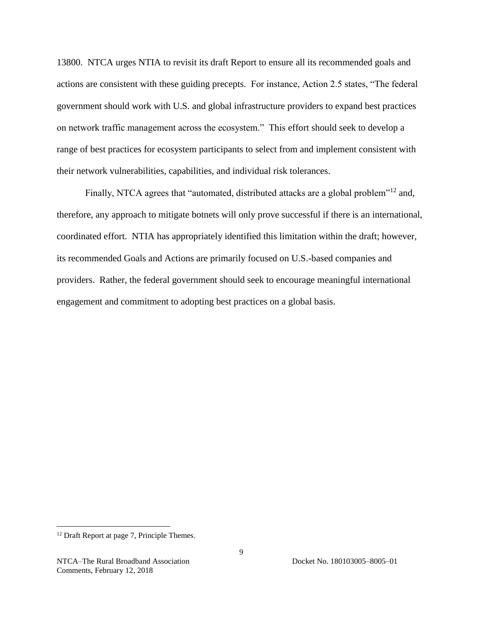13800. NTCA urges NTIA to revisit its draft Report to ensure all its recommended goals and actions are consistent with these guiding precepts. For instance, Action 2.5 states, "The federal government should work with U.S. and global infrastructure providers to expand best practices on network traffic management across the ecosystem." This effort should seek to develop a range of best practices for ecosystem participants to select from and implement consistent with their network vulnerabilities, capabilities, and individual risk tolerances.

Finally, NTCA agrees that "automated, distributed attacks are a global problem"<sup>12</sup> and, therefore, any approach to mitigate botnets will only prove successful if there is an international, coordinated effort. NTIA has appropriately identified this limitation within the draft; however, its recommended Goals and Actions are primarily focused on U.S.-based companies and providers. Rather, the federal government should seek to encourage meaningful international engagement and commitment to adopting best practices on a global basis.

<sup>&</sup>lt;sup>12</sup> Draft Report at page 7, Principle Themes.